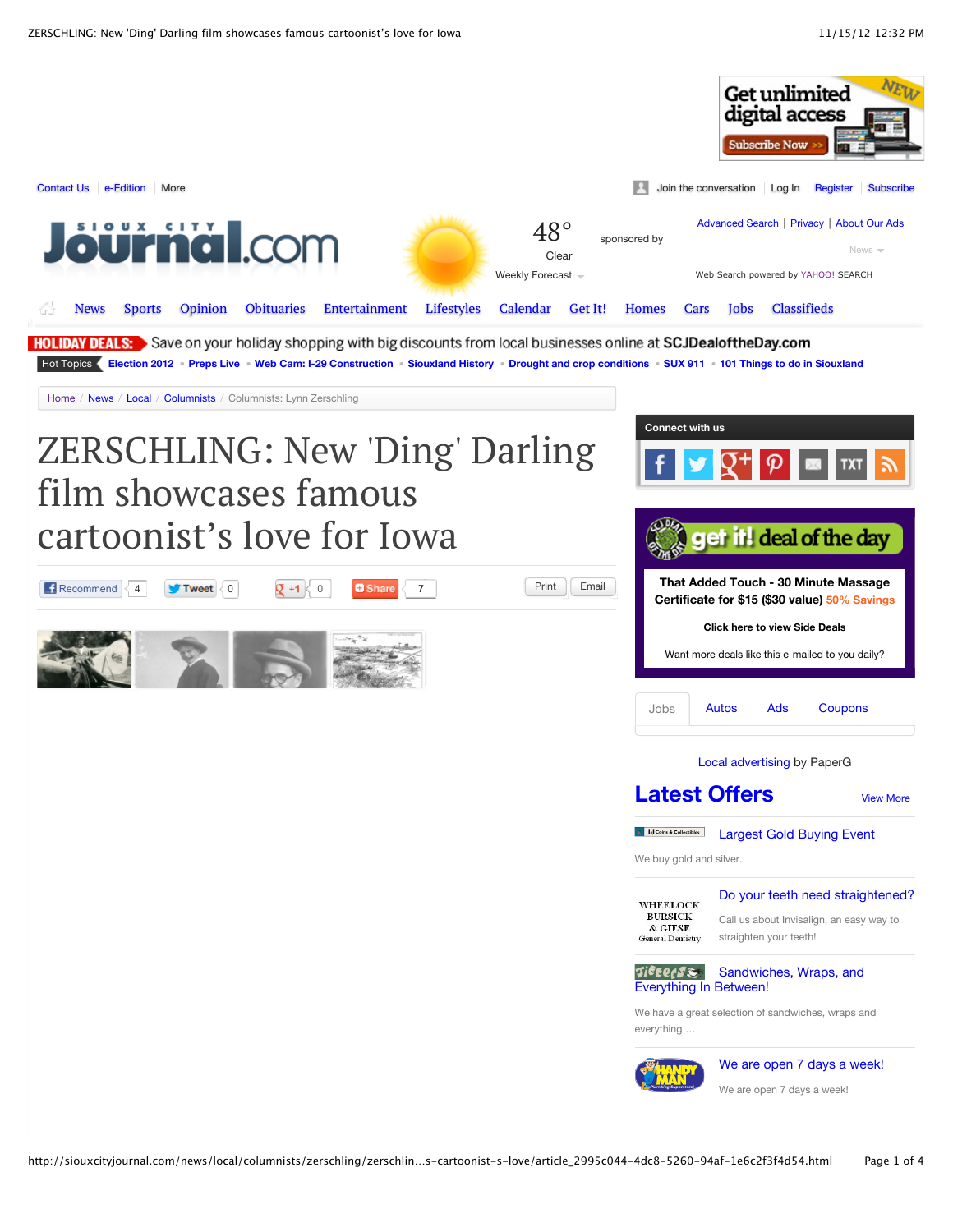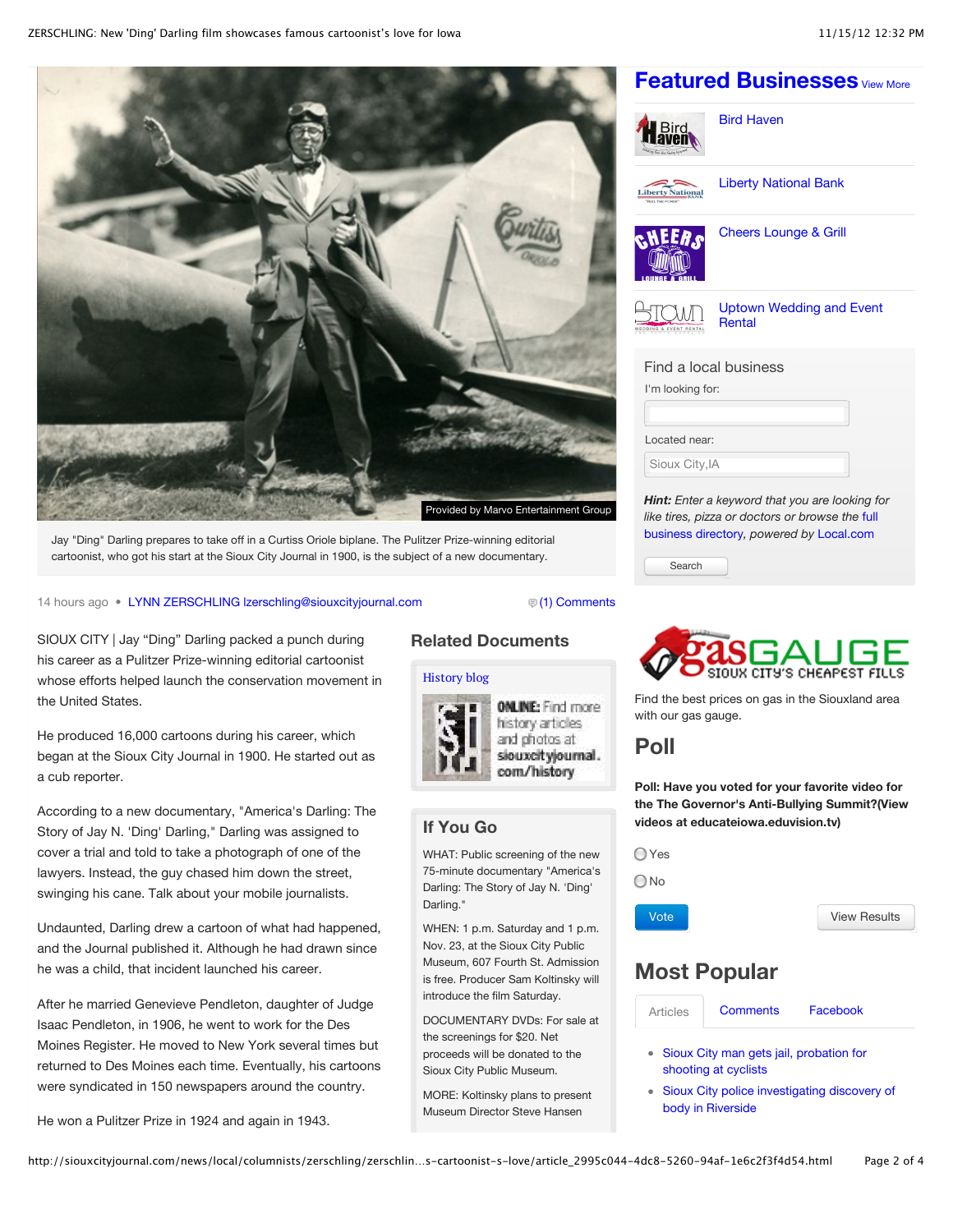

Jay "Ding" Darling prepares to take off in a Curtiss Oriole biplane. The Pulitzer Prize-winning editorial cartoonist, who got his start at the Sioux City Journal in 1900, is the subject of a new documentary.

14 hours ago • [LYNN ZERSCHLING lzerschling@siouxcityjournal.com](http://siouxcityjournal.com/search/?l=50&sd=desc&s=start_time&f=html&byline=LYNN%20ZERSCHLING%0Alzerschling%40siouxcityjournal.com) [\(1\) Comments](http://siouxcityjournal.com/news/local/columnists/zerschling/zerschling-new-ding-darling-film-showcases-famous-cartoonist-s-love/article_2995c044-4dc8-5260-94af-1e6c2f3f4d54.html#comments)

SIOUX CITY | Jay "Ding" Darling packed a punch during his career as a Pulitzer Prize-winning editorial cartoonist whose efforts helped launch the conservation movement in the United States.

He produced 16,000 cartoons during his career, which began at the Sioux City Journal in 1900. He started out as a cub reporter.

According to a new documentary, "America's Darling: The Story of Jay N. 'Ding' Darling," Darling was assigned to cover a trial and told to take a photograph of one of the lawyers. Instead, the guy chased him down the street, swinging his cane. Talk about your mobile journalists.

Undaunted, Darling drew a cartoon of what had happened, and the Journal published it. Although he had drawn since he was a child, that incident launched his career.

After he married Genevieve Pendleton, daughter of Judge Isaac Pendleton, in 1906, he went to work for the Des Moines Register. He moved to New York several times but returned to Des Moines each time. Eventually, his cartoons were syndicated in 150 newspapers around the country.

He won a Pulitzer Prize in 1924 and again in 1943.

### **Related Documents**

#### [History blog](http://siouxcityjournal.com/history-blog/pdf_89f8c24d-7fbd-5bb0-87c0-e9c1693942e7.html)



ONLINE: Find more history articles and photos at siouxcit yjournal. com/history

### **If You Go**

WHAT: Public screening of the new 75-minute documentary "America's Darling: The Story of Jay N. 'Ding' Darling."

WHEN: 1 p.m. Saturday and 1 p.m. Nov. 23, at the Sioux City Public Museum, 607 Fourth St. Admission is free. Producer Sam Koltinsky will introduce the film Saturday.

DOCUMENTARY DVDs: For sale at the screenings for \$20. Net proceeds will be donated to the Sioux City Public Museum.

MORE: Koltinsky plans to present Museum Director Steve Hansen

## **[Featured Businesses](http://siouxcityjournal.com/search/?c=places&t=article&sd=desc&s=start_time&sHeading=Local+Businesses&skin=%2Fget-it&D=business&app%5B0%5D=business)** [View More](http://siouxcityjournal.com/search/?c=places&t=article&sd=desc&s=start_time&sHeading=Local+Businesses&skin=%2Fget-it&D=business&app%5B0%5D=business)



[Bird Haven](http://siouxcityjournal.com/places/bird-haven/business_4000004494.html)

[Liberty National Bank](http://siouxcityjournal.com/places/liberty-national-bank/business_1129585227.html)



[Cheers Lounge & Grill](http://siouxcityjournal.com/places/cheers-lounge-grill/business_1132435686.html)



[Uptown Wedding and Event](http://siouxcityjournal.com/places/uptown-wedding-and-event-rental/business_4000002794.html) **Rental** 

| Find a local business |  |
|-----------------------|--|
| I'm looking for:      |  |
|                       |  |
| Located near:         |  |
| Sioux City, IA        |  |

*Hint: Enter a keyword that you are looking for [like tires, pizza or doctors or browse the](http://local.siouxcityjournal.com/)* full business directory*, powered by* [Local.com](http://local.siouxcityjournal.com/)

Search



Find the best prices on gas in the Siouxland area with our gas gauge.

## **Poll**

**Poll: Have you voted for your favorite video for the The Governor's Anti-Bullying Summit?(View videos at educateiowa.eduvision.tv)**

◯ Yes

No

Vote

[View Results](http://siouxcityjournal.com/content/tncms/live/#)

## **Most Popular**

| <b>Articles</b> | <b>Comments</b> | Facebook |
|-----------------|-----------------|----------|
|                 |                 |          |

[Sioux City man gets jail, probation for](http://siouxcityjournal.com/news/local/crime-and-courts/sioux-city-man-gets-jail-probation-for-shooting-at-cyclists/article_2602367b-1ee1-58a7-8c13-343f396ed8e6.html) shooting at cyclists

[Sioux City police investigating discovery of](http://siouxcityjournal.com/news/local/crime-and-courts/sioux-city-police-investigating-discovery-of-body-in-riverside/article_7b13dfd4-3858-59f2-b534-dcae9ebd63b7.html) body in Riverside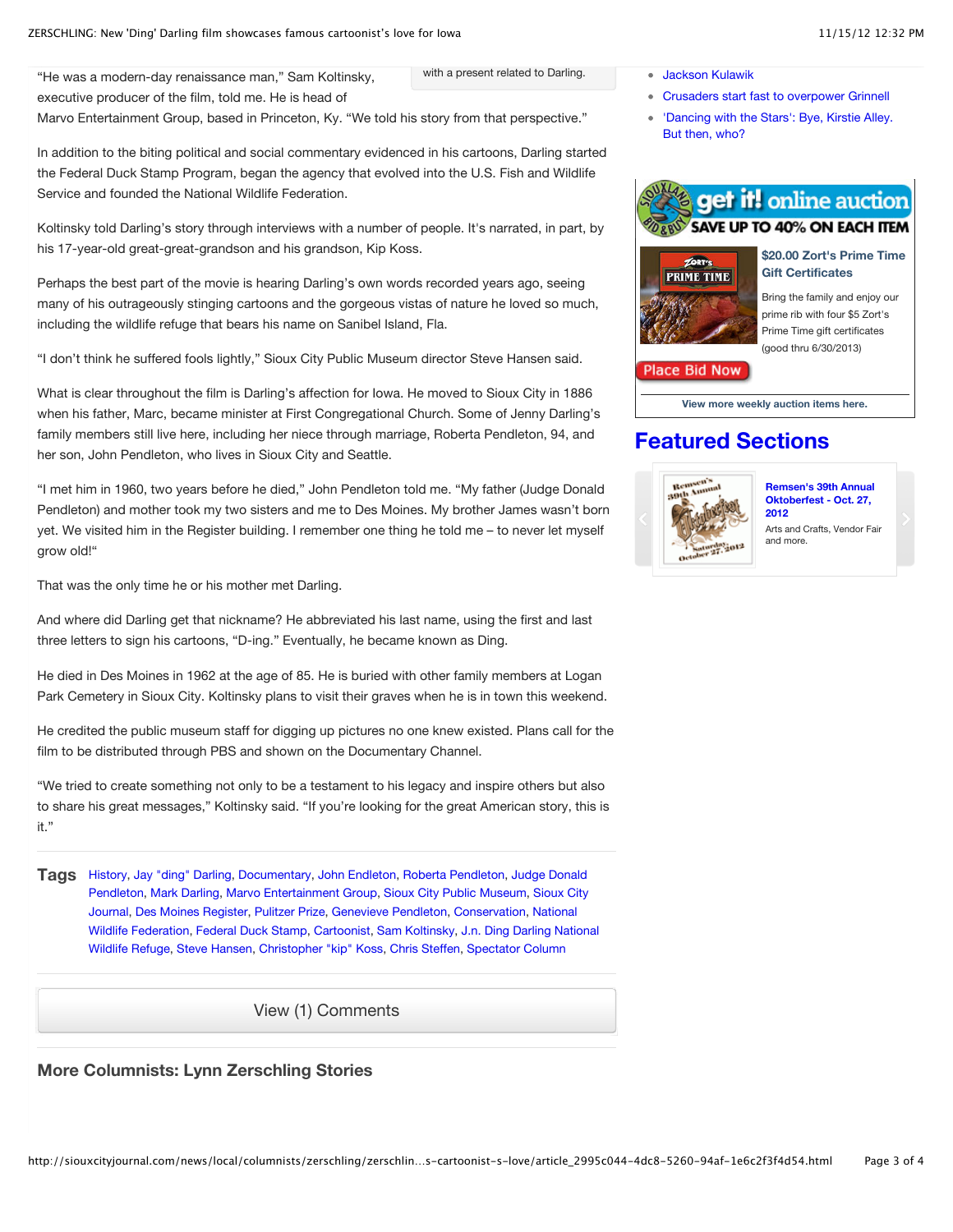"He was a modern-day renaissance man," Sam Koltinsky, executive producer of the film, told me. He is head of

Marvo Entertainment Group, based in Princeton, Ky. "We told his story from that perspective."

In addition to the biting political and social commentary evidenced in his cartoons, Darling started the Federal Duck Stamp Program, began the agency that evolved into the U.S. Fish and Wildlife Service and founded the National Wildlife Federation.

Koltinsky told Darling's story through interviews with a number of people. It's narrated, in part, by his 17-year-old great-great-grandson and his grandson, Kip Koss.

Perhaps the best part of the movie is hearing Darling's own words recorded years ago, seeing many of his outrageously stinging cartoons and the gorgeous vistas of nature he loved so much, including the wildlife refuge that bears his name on Sanibel Island, Fla.

"I don't think he suffered fools lightly," Sioux City Public Museum director Steve Hansen said.

What is clear throughout the film is Darling's affection for Iowa. He moved to Sioux City in 1886 when his father, Marc, became minister at First Congregational Church. Some of Jenny Darling's family members still live here, including her niece through marriage, Roberta Pendleton, 94, and her son, John Pendleton, who lives in Sioux City and Seattle.

"I met him in 1960, two years before he died," John Pendleton told me. "My father (Judge Donald Pendleton) and mother took my two sisters and me to Des Moines. My brother James wasn't born yet. We visited him in the Register building. I remember one thing he told me – to never let myself grow old!"

That was the only time he or his mother met Darling.

And where did Darling get that nickname? He abbreviated his last name, using the first and last three letters to sign his cartoons, "D-ing." Eventually, he became known as Ding.

He died in Des Moines in 1962 at the age of 85. He is buried with other family members at Logan Park Cemetery in Sioux City. Koltinsky plans to visit their graves when he is in town this weekend.

He credited the public museum staff for digging up pictures no one knew existed. Plans call for the film to be distributed through PBS and shown on the Documentary Channel.

"We tried to create something not only to be a testament to his legacy and inspire others but also to share his great messages," Koltinsky said. "If you're looking for the great American story, this is it."

**Tags** [History,](http://siouxcityjournal.com/search/?k=%22history%22&t=&l=20&d=&d1=&d2=&f=html&s=start_time&sd=desc&sHeading=History) [Jay "ding" Darling,](http://siouxcityjournal.com/search/?k=%22jay) [Documentary](http://siouxcityjournal.com/search/?k=%22documentary%22&t=&l=20&d=&d1=&d2=&f=html&s=start_time&sd=desc&sHeading=Documentary), [John Endleton,](http://siouxcityjournal.com/search/?k=%22john%20endleton%22&t=&l=20&d=&d1=&d2=&f=html&s=start_time&sd=desc&sHeading=John%20Endleton) [Roberta Pendleton,](http://siouxcityjournal.com/search/?k=%22roberta%20pendleton%22&t=&l=20&d=&d1=&d2=&f=html&s=start_time&sd=desc&sHeading=Roberta%20Pendleton) Judge Donald [Pendleton, Mark Darling, Marvo Entertainment Group, Sioux City Public Museum, Sioux Cit](http://siouxcityjournal.com/search/?k=%22judge%20donald%20pendleton%22&t=&l=20&d=&d1=&d2=&f=html&s=start_time&sd=desc&sHeading=Judge%20Donald%20Pendleton)[y](http://siouxcityjournal.com/search/?k=%22sioux%20city%20journal%22&t=&l=20&d=&d1=&d2=&f=html&s=start_time&sd=desc&sHeading=Sioux%20City%20Journal) [Journal,](http://siouxcityjournal.com/search/?k=%22national%20wildlife%20federation%22&t=&l=20&d=&d1=&d2=&f=html&s=start_time&sd=desc&sHeading=National%20Wildlife%20Federation) [Des Moines Register](http://siouxcityjournal.com/search/?k=%22des%20moines%20register%22&t=&l=20&d=&d1=&d2=&f=html&s=start_time&sd=desc&sHeading=Des%20Moines%20Register)[,](http://siouxcityjournal.com/search/?k=%22national%20wildlife%20federation%22&t=&l=20&d=&d1=&d2=&f=html&s=start_time&sd=desc&sHeading=National%20Wildlife%20Federation) [Pulitzer Prize](http://siouxcityjournal.com/search/?k=%22pulitzer%20prize%22&t=&l=20&d=&d1=&d2=&f=html&s=start_time&sd=desc&sHeading=Pulitzer%20Prize)[,](http://siouxcityjournal.com/search/?k=%22national%20wildlife%20federation%22&t=&l=20&d=&d1=&d2=&f=html&s=start_time&sd=desc&sHeading=National%20Wildlife%20Federation) [Genevieve Pendleto](http://siouxcityjournal.com/search/?k=%22genevieve%20pendleton%22&t=&l=20&d=&d1=&d2=&f=html&s=start_time&sd=desc&sHeading=Genevieve%20Pendleton)[n, C](http://siouxcityjournal.com/search/?k=%22national%20wildlife%20federation%22&t=&l=20&d=&d1=&d2=&f=html&s=start_time&sd=desc&sHeading=National%20Wildlife%20Federation)[onservation](http://siouxcityjournal.com/search/?k=%22conservation%22&t=&l=20&d=&d1=&d2=&f=html&s=start_time&sd=desc&sHeading=Conservation)[, National](http://siouxcityjournal.com/search/?k=%22national%20wildlife%20federation%22&t=&l=20&d=&d1=&d2=&f=html&s=start_time&sd=desc&sHeading=National%20Wildlife%20Federation) [Wildlife Federation,](http://siouxcityjournal.com/search/?k=%22j.n.%20ding%20darling%20national%20wildlife%20refuge%22&t=&l=20&d=&d1=&d2=&f=html&s=start_time&sd=desc&sHeading=J.n.%20Ding%20Darling%20National%20Wildlife%20Refuge) [Federal Duck Stamp](http://siouxcityjournal.com/search/?k=%22federal%20duck%20stamp%22&t=&l=20&d=&d1=&d2=&f=html&s=start_time&sd=desc&sHeading=Federal%20Duck%20Stamp)[, C](http://siouxcityjournal.com/search/?k=%22j.n.%20ding%20darling%20national%20wildlife%20refuge%22&t=&l=20&d=&d1=&d2=&f=html&s=start_time&sd=desc&sHeading=J.n.%20Ding%20Darling%20National%20Wildlife%20Refuge)[artoonis](http://siouxcityjournal.com/search/?k=%22cartoonist%22&t=&l=20&d=&d1=&d2=&f=html&s=start_time&sd=desc&sHeading=Cartoonist)[t,](http://siouxcityjournal.com/search/?k=%22j.n.%20ding%20darling%20national%20wildlife%20refuge%22&t=&l=20&d=&d1=&d2=&f=html&s=start_time&sd=desc&sHeading=J.n.%20Ding%20Darling%20National%20Wildlife%20Refuge) [Sam Koltinsky](http://siouxcityjournal.com/search/?k=%22sam%20koltinsky%22&t=&l=20&d=&d1=&d2=&f=html&s=start_time&sd=desc&sHeading=Sam%20Koltinsky)[, J.n. Ding Darling National](http://siouxcityjournal.com/search/?k=%22j.n.%20ding%20darling%20national%20wildlife%20refuge%22&t=&l=20&d=&d1=&d2=&f=html&s=start_time&sd=desc&sHeading=J.n.%20Ding%20Darling%20National%20Wildlife%20Refuge) Wildlife Refuge, [Steve Hansen,](http://siouxcityjournal.com/search/?k=%22steve%20hansen%22&t=&l=20&d=&d1=&d2=&f=html&s=start_time&sd=desc&sHeading=Steve%20Hansen) [Christopher "kip" Koss,](http://siouxcityjournal.com/search/?k=%22christopher) [Chris Steffen,](http://siouxcityjournal.com/search/?k=%22chris%20steffen%22&t=&l=20&d=&d1=&d2=&f=html&s=start_time&sd=desc&sHeading=Chris%20Steffen) [Spectator Column](http://siouxcityjournal.com/search/?k=%22spectator%20column%22&t=&l=20&d=&d1=&d2=&f=html&s=start_time&sd=desc&sHeading=Spectator%20Column)

[View \(1\) Comments](http://siouxcityjournal.com/news/local/columnists/zerschling/zerschling-new-ding-darling-film-showcases-famous-cartoonist-s-love/article_2995c044-4dc8-5260-94af-1e6c2f3f4d54.html?mode=comments)

#### **More Columnists: Lynn Zerschling Stories**

with a present related to Darling. [Jackson Kulawik](http://siouxcityjournal.com/news/local/obituaries/jackson-kulawik/article_413f3e18-3698-50e7-9038-7ccbf8cc6a6d.html)

- [Crusaders start fast to overpower Grinnell](http://siouxcityjournal.com/sports/high-school/football/crusaders-start-fast-to-overpower-grinnell/article_60949224-2612-5b85-ad14-6ef563804bc9.html)
- ['Dancing with the Stars': Bye, Kirstie Alley.](http://siouxcityjournal.com/blogs/bruceblog/dancing-with-the-stars-bye-kirstie-alley-but-then-who/article_8150c946-2d3f-11e2-a661-001a4bcf887a.html) But then, who?





#### **[\\$20.00 Zort's Prime Time](http://www.cityxpress.com/waf.srv/lee/siouxcity/auction/auction_ActionProdDet?ONSUCCESS=proddet.jsp&PARENTCOLL=15494003&PRODID=10573890&DESTID=0029) Gift Certificates**

Bring the family and enjoy our prime rib with four \$5 Zort's Prime Time gift certificates (good thru 6/30/2013)

#### **Place Bid Now**

**[View more weekly auction items here.](http://www.cityxpress.com/waf.srv/lee/siouxcity/auction/auction_ActionSrchProd?ONSUCCESS=products_search.jsp&ONERR1=search_noitem.jsp&ONERR2=products_search.jsp)**

## **[Featured Sections](http://siouxcityjournal.com/featured_sections)**



**[Remsen's 39th Annual](http://www.siouxcityjournal.com/app/featured_sections/remsen_oktoberfest/index.php) Oktoberfest - Oct. 27, 2012**

Arts and Crafts, Vendor Fair and more.